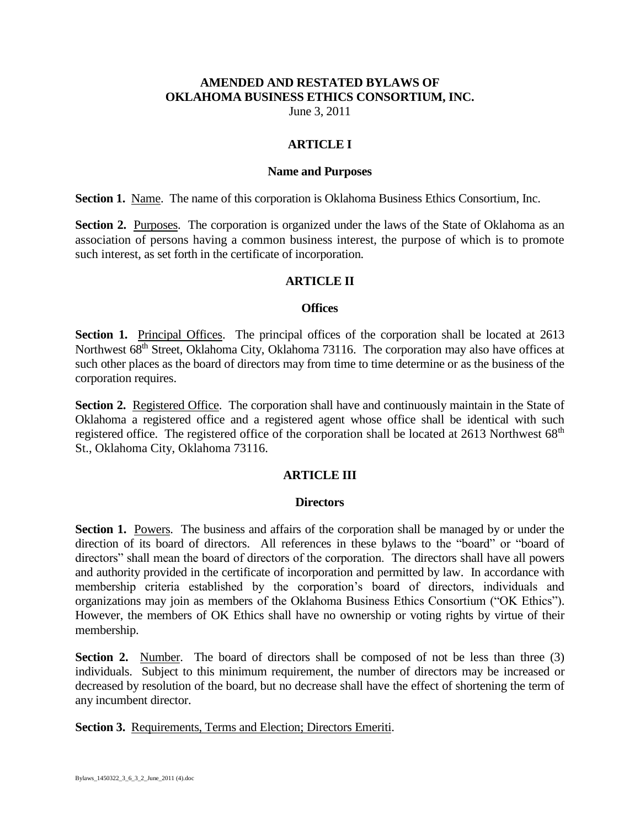## **AMENDED AND RESTATED BYLAWS OF OKLAHOMA BUSINESS ETHICS CONSORTIUM, INC.**

June 3, 2011

## **ARTICLE I**

#### **Name and Purposes**

**Section 1.** Name. The name of this corporation is Oklahoma Business Ethics Consortium, Inc.

**Section 2.** Purposes. The corporation is organized under the laws of the State of Oklahoma as an association of persons having a common business interest, the purpose of which is to promote such interest, as set forth in the certificate of incorporation.

#### **ARTICLE II**

#### **Offices**

**Section 1.** Principal Offices. The principal offices of the corporation shall be located at 2613 Northwest 68<sup>th</sup> Street, Oklahoma City, Oklahoma 73116. The corporation may also have offices at such other places as the board of directors may from time to time determine or as the business of the corporation requires.

Section 2. Registered Office. The corporation shall have and continuously maintain in the State of Oklahoma a registered office and a registered agent whose office shall be identical with such registered office. The registered office of the corporation shall be located at 2613 Northwest 68<sup>th</sup> St., Oklahoma City, Oklahoma 73116.

## **ARTICLE III**

#### **Directors**

**Section 1.** Powers. The business and affairs of the corporation shall be managed by or under the direction of its board of directors. All references in these bylaws to the "board" or "board of directors" shall mean the board of directors of the corporation. The directors shall have all powers and authority provided in the certificate of incorporation and permitted by law. In accordance with membership criteria established by the corporation's board of directors, individuals and organizations may join as members of the Oklahoma Business Ethics Consortium ("OK Ethics"). However, the members of OK Ethics shall have no ownership or voting rights by virtue of their membership.

**Section 2.** Number. The board of directors shall be composed of not be less than three (3) individuals. Subject to this minimum requirement, the number of directors may be increased or decreased by resolution of the board, but no decrease shall have the effect of shortening the term of any incumbent director.

**Section 3.** Requirements, Terms and Election; Directors Emeriti.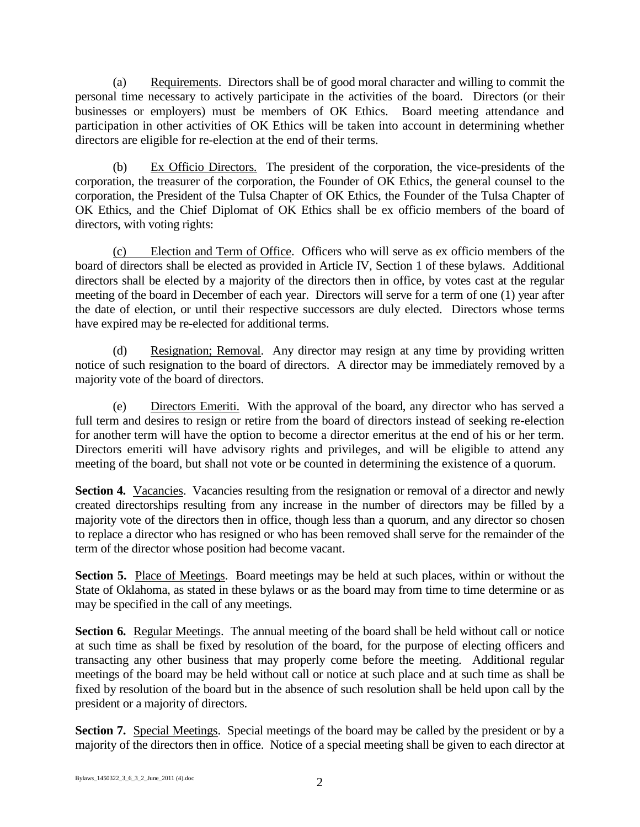(a) Requirements. Directors shall be of good moral character and willing to commit the personal time necessary to actively participate in the activities of the board. Directors (or their businesses or employers) must be members of OK Ethics. Board meeting attendance and participation in other activities of OK Ethics will be taken into account in determining whether directors are eligible for re-election at the end of their terms.

(b) Ex Officio Directors. The president of the corporation, the vice-presidents of the corporation, the treasurer of the corporation, the Founder of OK Ethics, the general counsel to the corporation, the President of the Tulsa Chapter of OK Ethics, the Founder of the Tulsa Chapter of OK Ethics, and the Chief Diplomat of OK Ethics shall be ex officio members of the board of directors, with voting rights:

(c) Election and Term of Office. Officers who will serve as ex officio members of the board of directors shall be elected as provided in Article IV, Section 1 of these bylaws. Additional directors shall be elected by a majority of the directors then in office, by votes cast at the regular meeting of the board in December of each year. Directors will serve for a term of one (1) year after the date of election, or until their respective successors are duly elected. Directors whose terms have expired may be re-elected for additional terms.

(d) Resignation; Removal. Any director may resign at any time by providing written notice of such resignation to the board of directors. A director may be immediately removed by a majority vote of the board of directors.

(e) Directors Emeriti. With the approval of the board, any director who has served a full term and desires to resign or retire from the board of directors instead of seeking re-election for another term will have the option to become a director emeritus at the end of his or her term. Directors emeriti will have advisory rights and privileges, and will be eligible to attend any meeting of the board, but shall not vote or be counted in determining the existence of a quorum.

Section 4. Vacancies. Vacancies resulting from the resignation or removal of a director and newly created directorships resulting from any increase in the number of directors may be filled by a majority vote of the directors then in office, though less than a quorum, and any director so chosen to replace a director who has resigned or who has been removed shall serve for the remainder of the term of the director whose position had become vacant.

**Section 5.** Place of Meetings. Board meetings may be held at such places, within or without the State of Oklahoma, as stated in these bylaws or as the board may from time to time determine or as may be specified in the call of any meetings.

**Section 6.** Regular Meetings. The annual meeting of the board shall be held without call or notice at such time as shall be fixed by resolution of the board, for the purpose of electing officers and transacting any other business that may properly come before the meeting. Additional regular meetings of the board may be held without call or notice at such place and at such time as shall be fixed by resolution of the board but in the absence of such resolution shall be held upon call by the president or a majority of directors.

**Section 7.** Special Meetings. Special meetings of the board may be called by the president or by a majority of the directors then in office. Notice of a special meeting shall be given to each director at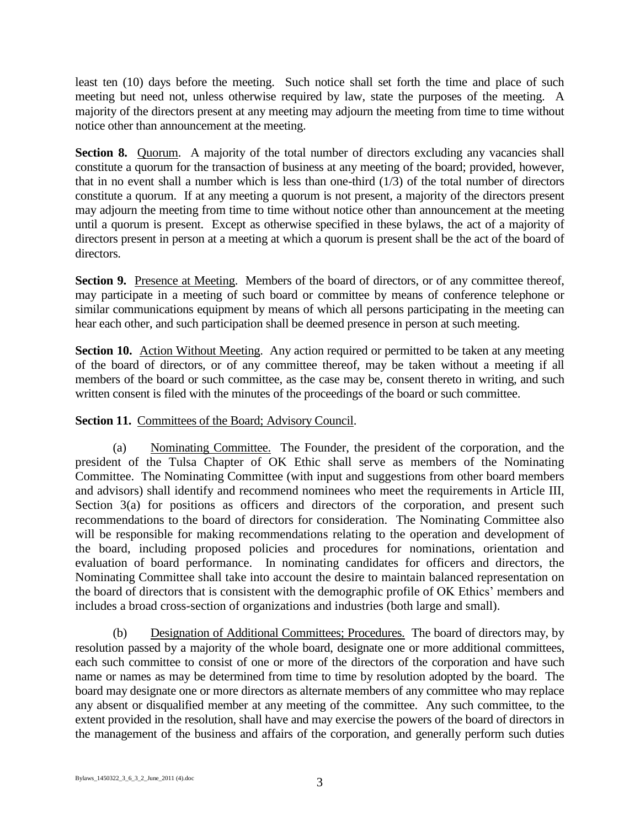least ten (10) days before the meeting. Such notice shall set forth the time and place of such meeting but need not, unless otherwise required by law, state the purposes of the meeting. A majority of the directors present at any meeting may adjourn the meeting from time to time without notice other than announcement at the meeting.

**Section 8.** Quorum. A majority of the total number of directors excluding any vacancies shall constitute a quorum for the transaction of business at any meeting of the board; provided, however, that in no event shall a number which is less than one-third  $(1/3)$  of the total number of directors constitute a quorum. If at any meeting a quorum is not present, a majority of the directors present may adjourn the meeting from time to time without notice other than announcement at the meeting until a quorum is present. Except as otherwise specified in these bylaws, the act of a majority of directors present in person at a meeting at which a quorum is present shall be the act of the board of directors.

**Section 9.** Presence at Meeting. Members of the board of directors, or of any committee thereof, may participate in a meeting of such board or committee by means of conference telephone or similar communications equipment by means of which all persons participating in the meeting can hear each other, and such participation shall be deemed presence in person at such meeting.

**Section 10.** Action Without Meeting. Any action required or permitted to be taken at any meeting of the board of directors, or of any committee thereof, may be taken without a meeting if all members of the board or such committee, as the case may be, consent thereto in writing, and such written consent is filed with the minutes of the proceedings of the board or such committee.

## **Section 11.** Committees of the Board; Advisory Council.

(a) Nominating Committee. The Founder, the president of the corporation, and the president of the Tulsa Chapter of OK Ethic shall serve as members of the Nominating Committee. The Nominating Committee (with input and suggestions from other board members and advisors) shall identify and recommend nominees who meet the requirements in Article III, Section 3(a) for positions as officers and directors of the corporation, and present such recommendations to the board of directors for consideration. The Nominating Committee also will be responsible for making recommendations relating to the operation and development of the board, including proposed policies and procedures for nominations, orientation and evaluation of board performance. In nominating candidates for officers and directors, the Nominating Committee shall take into account the desire to maintain balanced representation on the board of directors that is consistent with the demographic profile of OK Ethics' members and includes a broad cross-section of organizations and industries (both large and small).

(b) Designation of Additional Committees; Procedures. The board of directors may, by resolution passed by a majority of the whole board, designate one or more additional committees, each such committee to consist of one or more of the directors of the corporation and have such name or names as may be determined from time to time by resolution adopted by the board. The board may designate one or more directors as alternate members of any committee who may replace any absent or disqualified member at any meeting of the committee. Any such committee, to the extent provided in the resolution, shall have and may exercise the powers of the board of directors in the management of the business and affairs of the corporation, and generally perform such duties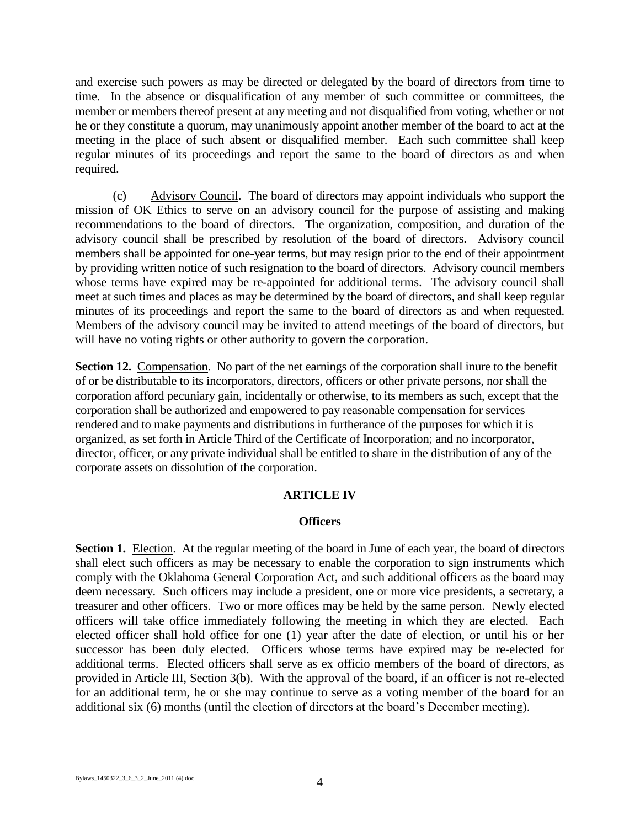and exercise such powers as may be directed or delegated by the board of directors from time to time. In the absence or disqualification of any member of such committee or committees, the member or members thereof present at any meeting and not disqualified from voting, whether or not he or they constitute a quorum, may unanimously appoint another member of the board to act at the meeting in the place of such absent or disqualified member. Each such committee shall keep regular minutes of its proceedings and report the same to the board of directors as and when required.

(c) Advisory Council. The board of directors may appoint individuals who support the mission of OK Ethics to serve on an advisory council for the purpose of assisting and making recommendations to the board of directors. The organization, composition, and duration of the advisory council shall be prescribed by resolution of the board of directors. Advisory council members shall be appointed for one-year terms, but may resign prior to the end of their appointment by providing written notice of such resignation to the board of directors. Advisory council members whose terms have expired may be re-appointed for additional terms. The advisory council shall meet at such times and places as may be determined by the board of directors, and shall keep regular minutes of its proceedings and report the same to the board of directors as and when requested. Members of the advisory council may be invited to attend meetings of the board of directors, but will have no voting rights or other authority to govern the corporation.

Section 12. Compensation. No part of the net earnings of the corporation shall inure to the benefit of or be distributable to its incorporators, directors, officers or other private persons, nor shall the corporation afford pecuniary gain, incidentally or otherwise, to its members as such, except that the corporation shall be authorized and empowered to pay reasonable compensation for services rendered and to make payments and distributions in furtherance of the purposes for which it is organized, as set forth in Article Third of the Certificate of Incorporation; and no incorporator, director, officer, or any private individual shall be entitled to share in the distribution of any of the corporate assets on dissolution of the corporation.

## **ARTICLE IV**

#### **Officers**

**Section 1.** Election. At the regular meeting of the board in June of each year, the board of directors shall elect such officers as may be necessary to enable the corporation to sign instruments which comply with the Oklahoma General Corporation Act, and such additional officers as the board may deem necessary. Such officers may include a president, one or more vice presidents, a secretary, a treasurer and other officers. Two or more offices may be held by the same person. Newly elected officers will take office immediately following the meeting in which they are elected. Each elected officer shall hold office for one (1) year after the date of election, or until his or her successor has been duly elected. Officers whose terms have expired may be re-elected for additional terms. Elected officers shall serve as ex officio members of the board of directors, as provided in Article III, Section 3(b). With the approval of the board, if an officer is not re-elected for an additional term, he or she may continue to serve as a voting member of the board for an additional six (6) months (until the election of directors at the board's December meeting).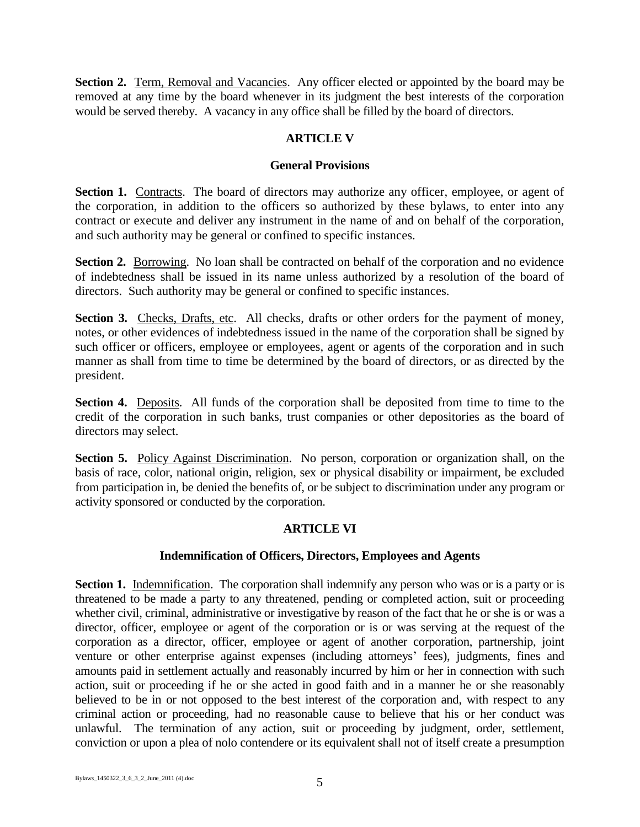**Section 2.** Term, Removal and Vacancies. Any officer elected or appointed by the board may be removed at any time by the board whenever in its judgment the best interests of the corporation would be served thereby. A vacancy in any office shall be filled by the board of directors.

## **ARTICLE V**

## **General Provisions**

**Section 1.** Contracts. The board of directors may authorize any officer, employee, or agent of the corporation, in addition to the officers so authorized by these bylaws, to enter into any contract or execute and deliver any instrument in the name of and on behalf of the corporation, and such authority may be general or confined to specific instances.

**Section 2.** Borrowing. No loan shall be contracted on behalf of the corporation and no evidence of indebtedness shall be issued in its name unless authorized by a resolution of the board of directors. Such authority may be general or confined to specific instances.

Section 3. Checks, Drafts, etc. All checks, drafts or other orders for the payment of money, notes, or other evidences of indebtedness issued in the name of the corporation shall be signed by such officer or officers, employee or employees, agent or agents of the corporation and in such manner as shall from time to time be determined by the board of directors, or as directed by the president.

**Section 4.** Deposits. All funds of the corporation shall be deposited from time to time to the credit of the corporation in such banks, trust companies or other depositories as the board of directors may select.

**Section 5.** Policy Against Discrimination. No person, corporation or organization shall, on the basis of race, color, national origin, religion, sex or physical disability or impairment, be excluded from participation in, be denied the benefits of, or be subject to discrimination under any program or activity sponsored or conducted by the corporation.

# **ARTICLE VI**

## **Indemnification of Officers, Directors, Employees and Agents**

**Section 1.** Indemnification. The corporation shall indemnify any person who was or is a party or is threatened to be made a party to any threatened, pending or completed action, suit or proceeding whether civil, criminal, administrative or investigative by reason of the fact that he or she is or was a director, officer, employee or agent of the corporation or is or was serving at the request of the corporation as a director, officer, employee or agent of another corporation, partnership, joint venture or other enterprise against expenses (including attorneys' fees), judgments, fines and amounts paid in settlement actually and reasonably incurred by him or her in connection with such action, suit or proceeding if he or she acted in good faith and in a manner he or she reasonably believed to be in or not opposed to the best interest of the corporation and, with respect to any criminal action or proceeding, had no reasonable cause to believe that his or her conduct was unlawful. The termination of any action, suit or proceeding by judgment, order, settlement, conviction or upon a plea of nolo contendere or its equivalent shall not of itself create a presumption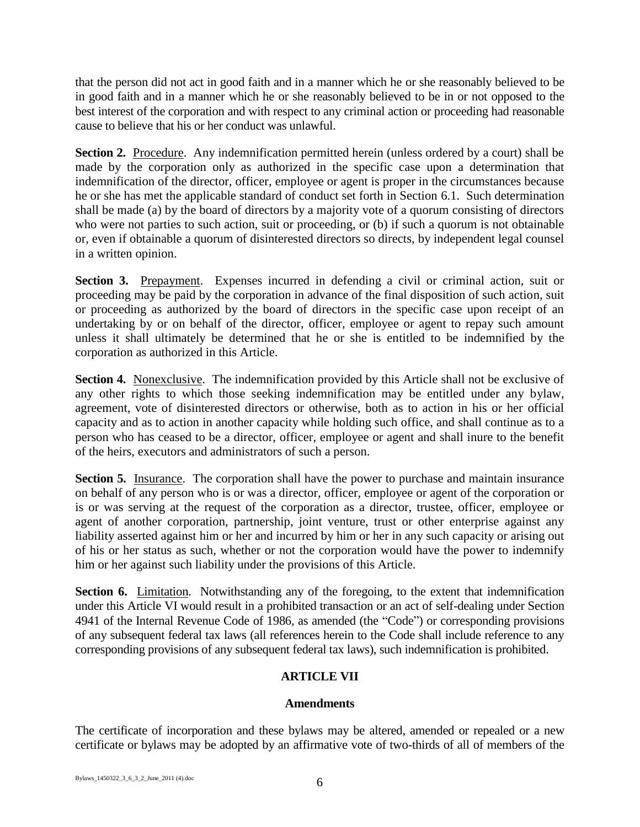that the person did not act in good faith and in a manner which he or she reasonably believed to be in good faith and in a manner which he or she reasonably believed to be in or not opposed to the best interest of the corporation and with respect to any criminal action or proceeding had reasonable cause to believe that his or her conduct was unlawful.

**Section 2.** Procedure. Any indemnification permitted herein (unless ordered by a court) shall be made by the corporation only as authorized in the specific case upon a determination that indemnification of the director, officer, employee or agent is proper in the circumstances because he or she has met the applicable standard of conduct set forth in Section 6.1. Such determination shall be made (a) by the board of directors by a majority vote of a quorum consisting of directors who were not parties to such action, suit or proceeding, or (b) if such a quorum is not obtainable or, even if obtainable a quorum of disinterested directors so directs, by independent legal counsel in a written opinion.

**Section 3.** Prepayment. Expenses incurred in defending a civil or criminal action, suit or proceeding may be paid by the corporation in advance of the final disposition of such action, suit or proceeding as authorized by the board of directors in the specific case upon receipt of an undertaking by or on behalf of the director, officer, employee or agent to repay such amount unless it shall ultimately be determined that he or she is entitled to be indemnified by the corporation as authorized in this Article.

**Section 4.** Nonexclusive. The indemnification provided by this Article shall not be exclusive of any other rights to which those seeking indemnification may be entitled under any bylaw, agreement, vote of disinterested directors or otherwise, both as to action in his or her official capacity and as to action in another capacity while holding such office, and shall continue as to a person who has ceased to be a director, officer, employee or agent and shall inure to the benefit of the heirs, executors and administrators of such a person.

**Section 5.** Insurance. The corporation shall have the power to purchase and maintain insurance on behalf of any person who is or was a director, officer, employee or agent of the corporation or is or was serving at the request of the corporation as a director, trustee, officer, employee or agent of another corporation, partnership, joint venture, trust or other enterprise against any liability asserted against him or her and incurred by him or her in any such capacity or arising out of his or her status as such, whether or not the corporation would have the power to indemnify him or her against such liability under the provisions of this Article.

**Section 6.** Limitation. Notwithstanding any of the foregoing, to the extent that indemnification under this Article VI would result in a prohibited transaction or an act of self-dealing under Section 4941 of the Internal Revenue Code of 1986, as amended (the "Code") or corresponding provisions of any subsequent federal tax laws (all references herein to the Code shall include reference to any corresponding provisions of any subsequent federal tax laws), such indemnification is prohibited.

# **ARTICLE VII**

## **Amendments**

The certificate of incorporation and these bylaws may be altered, amended or repealed or a new certificate or bylaws may be adopted by an affirmative vote of two-thirds of all of members of the